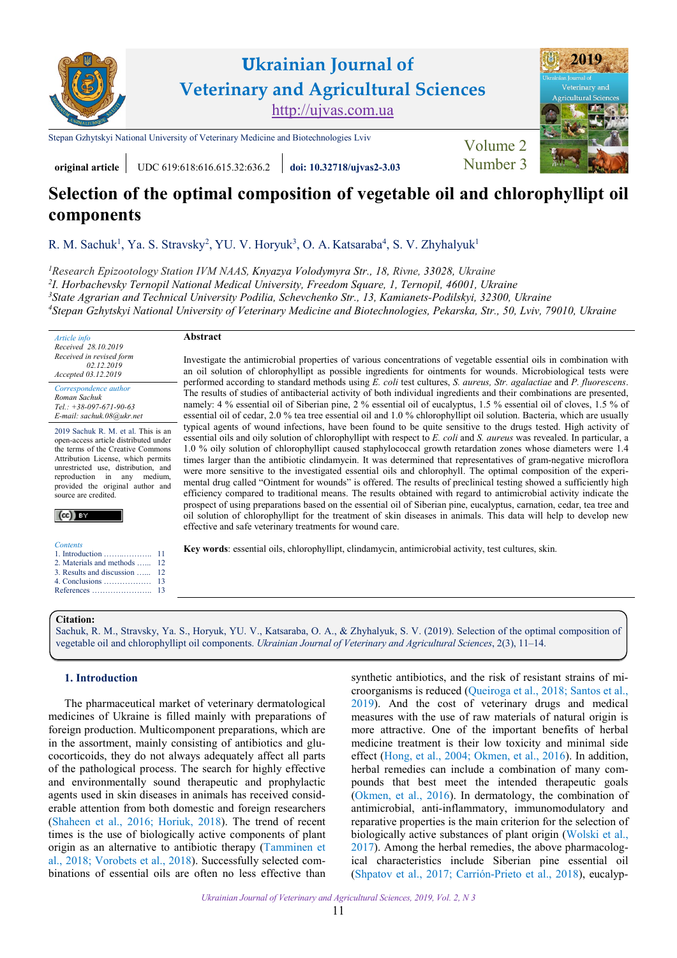

**original article** UDC 619:618:616.615.32:636.2 **[doi: 10.32718/ujvas2-3.03](https://doi.org/10.32718/ujvas2-3.03)** Number 3

**Abstract**

# **Selection of the optimal composition of vegetable oil and chlorophyllipt oil components**

R. M. Sachuk<sup>1</sup>, Ya. S. Stravsky<sup>2</sup>, YU. V. Horyuk<sup>3</sup>, O. A. Katsaraba<sup>4</sup>, S. V. Zhyhalyuk<sup>1</sup>

*[Research Epizootology Station IVM NAAS,](http://ivm.kiev.ua/structure-2/depart/rivnenska-doslidnicka-stanciya-epizotologi%D1%97.html) Knyazya Volodymyra Str., 18, Rivne, 33028, Ukraine I. Horbachevsky Ternopil [National Medical University,](https://www.tdmu.edu.ua) Freedom Square, 1, Ternopil, 46001, Ukraine [State Agrarian and Technical University Podil](https://pdatu.edu.ua)іа, Schevchenko Str., 13, Kamianets-Podilskyi, 32300, Ukraine [Stepan Gzhytskyi National University of Veterinary Medicine and Biotechnologies, Pekarska, Str., 50, Lviv, 79010, Ukraine](https://lvet.edu.ua)*

*Article info Received 28.10.2019 Received in revised form 02.12.2019 Accepted 03.12.2019* 

*Correspondence author [Roman Sachuk](https://orcid.org/0000-0003-4532-4220)  Tel.: +38-097-671-90-63 E-mail: sachuk.08@ukr.net* 

2019 Sachuk R. M. et al. This is an open-access article distributed under the terms of the Creative Commons Attribution License, which permits unrestricted use, distribution, and reproduction in any medium, provided the original author and source are credited.



*Contents* 

- 1. Introduction ……..……….. 11 [2. Materials and methods](#page-1-0) …... [12](#page-1-0)
- [3. Results and discussion](#page-1-0) …... [12](#page-1-0)
- [4. Conclusions ………………](#page-2-0) [13](#page-2-0) [References …………………..](#page-2-0) [13](#page-2-0)

Investigate the antimicrobial properties of various concentrations of vegetable essential oils in combination with an oil solution of chlorophyllipt as possible ingredients for ointments for wounds. Microbiological tests were performed according to standard methods using *E. coli* test cultures, *S. aureus, Str. agalactiae* and *P. fluorescens*. The results of studies of antibacterial activity of both individual ingredients and their combinations are presented, namely: 4 % essential oil of Siberian pine, 2 % essential oil of eucalyptus, 1.5 % essential oil of cloves, 1.5 % of essential oil of cedar, 2.0 % tea tree essential oil and 1.0 % chlorophyllipt oil solution. Bacteria, which are usually typical agents of wound infections, have been found to be quite sensitive to the drugs tested. High activity of essential oils and oily solution of chlorophyllipt with respect to *E. coli* and *S. aureus* was revealed. In particular, a 1.0 % oily solution of chlorophyllipt caused staphylococcal growth retardation zones whose diameters were 1.4 times larger than the antibiotic clindamycin. It was determined that representatives of gram-negative microflora were more sensitive to the investigated essential oils and chlorophyll. The optimal composition of the experimental drug called "Ointment for wounds" is offered. The results of preclinical testing showed a sufficiently high efficiency compared to traditional means. The results obtained with regard to antimicrobial activity indicate the prospect of using preparations based on the essential oil of Siberian pine, eucalyptus, carnation, cedar, tea tree and oil solution of chlorophyllipt for the treatment of skin diseases in animals. This data will help to develop new

**Key words**: essential oils, chlorophyllipt, clindamycin, antimicrobial activity, test cultures, skin.

#### **Citation:**

Sachuk, R. M., Stravsky, Ya. S., Horyuk, YU. V., Katsaraba, O. A., & Zhyhalyuk, S. V. (2019). Selection of the optimal composition of vegetable oil and chlorophyllipt oil components. *[Ukrainian Journal of Veterinary and Agricultural Sciences](https://doi.org/10.32718/ujvas2-3.03)*, 2(3), 11–14.

effective and safe veterinary treatments for wound care.

# **1. Introduction**

The pharmaceutical market of veterinary dermatological medicines of Ukraine is filled mainly with preparations of foreign production. Multicomponent preparations, which are in the assortment, mainly consisting of antibiotics and glucocorticoids, they do not always adequately affect all parts of the pathological process. The search for highly effective and environmentally sound therapeutic and prophylactic agents used in skin diseases in animals has received considerable attention from both domestic and foreign researchers ([Shaheen et al., 2016](#page-3-0); [Horiuk, 2018](#page-3-0)). The trend of recent times is the use of biologically active components of plant origin as an alternative to antibiotic therapy ([Tamminen et](#page-3-0) [al., 2018;](#page-3-0) [Vorobets et al., 2018](#page-3-0)). Successfully selected combinations of essential oils are often no less effective than

synthetic antibiotics, and the risk of resistant strains of microorganisms is reduced [\(Queiroga et al., 2018](#page-3-0); [Santos et al.,](#page-3-0)  [2019](#page-3-0)). And the cost of veterinary drugs and medical measures with the use of raw materials of natural origin is more attractive. One of the important benefits of herbal medicine treatment is their low toxicity and minimal side effect ([Hong, et al., 2004](#page-3-0); [Okmen, et al., 2016](#page-3-0)). In addition, herbal remedies can include a combination of many compounds that best meet the intended therapeutic goals [\(Okmen, et al., 2016](#page-3-0)). In dermatology, the combination of antimicrobial, anti-inflammatory, immunomodulatory and reparative properties is the main criterion for the selection of biologically active substances of plant origin (Wolski et al., [2017](#page-3-0)). Among the herbal remedies, the above pharmacological characteristics include Siberian pine essential oil [\(Shpatov et al., 2017](#page-3-0); [Carrión-Prieto et al., 2018](#page-3-0)), eucalyp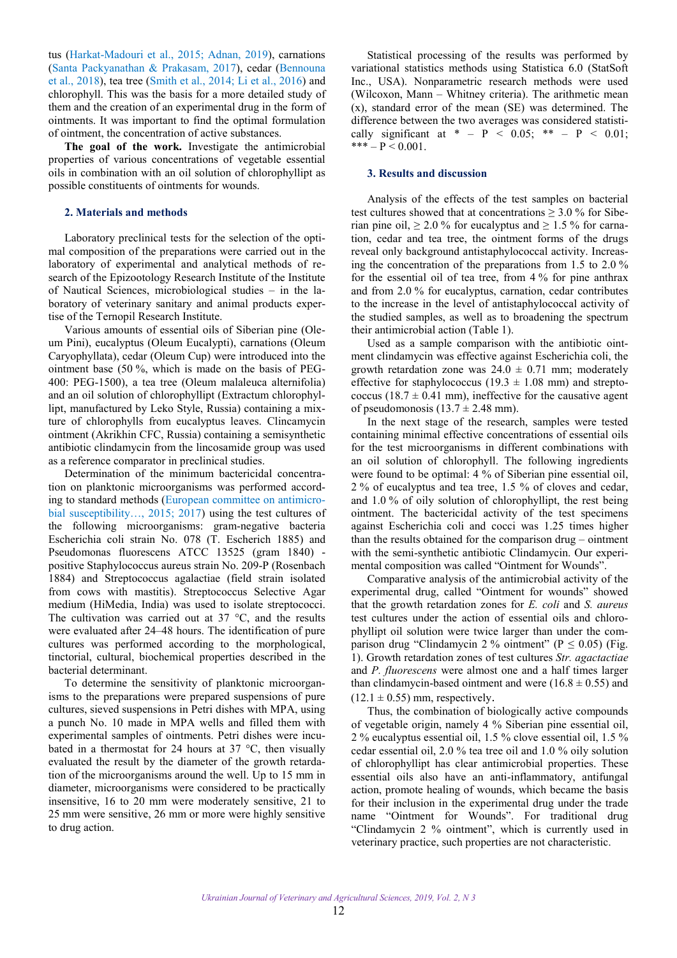<span id="page-1-0"></span>tus [\(Harkat-Madouri et al., 2015;](#page-3-0) [Adnan, 2019\)](#page-3-0), carnations ([Santa Packyanathan & Prakasam, 2017\)](#page-3-0), cedar ([Bennouna](#page-3-0) [et al., 2018\)](#page-3-0), tea tree ([Smith et al., 2014;](#page-3-0) [Li et al., 2016\)](#page-3-0) and chlorophyll. This was the basis for a more detailed study of them and the creation of an experimental drug in the form of ointments. It was important to find the optimal formulation of ointment, the concentration of active substances.

**The goal of the work.** Investigate the antimicrobial properties of various concentrations of vegetable essential oils in combination with an oil solution of chlorophyllipt as possible constituents of ointments for wounds.

#### **2. Materials and methods**

Laboratory preclinical tests for the selection of the optimal composition of the preparations were carried out in the laboratory of experimental and analytical methods of research of the Epizootology Research Institute of the Institute of Nautical Sciences, microbiological studies – in the laboratory of veterinary sanitary and animal products expertise of the Ternopil Research Institute.

Various amounts of essential oils of Siberian pine (Oleum Pini), eucalyptus (Oleum Eucalypti), carnations (Oleum Caryophyllata), cedar (Oleum Cup) were introduced into the ointment base (50 %, which is made on the basis of PEG-400: PEG-1500), a tea tree (Oleum malaleuca alternifolia) and an oil solution of chlorophyllipt (Extractum chlorophyllipt, manufactured by Leko Style, Russia) containing a mixture of chlorophylls from eucalyptus leaves. Clincamycin ointment (Akrikhin CFC, Russia) containing a semisynthetic antibiotic clindamycin from the lincosamide group was used as a reference comparator in preclinical studies.

Determination of the minimum bactericidal concentration on planktonic microorganisms was performed according to standard methods ([European committee on antimicro](#page-3-0)[bial susceptibility…, 2015;](#page-3-0) [2017](#page-3-0)) using the test cultures of the following microorganisms: gram-negative bacteria Escherichia coli strain No. 078 (T. Escherich 1885) and Pseudomonas fluorescens ATCC 13525 (gram 1840) positive Staphylococcus aureus strain No. 209-P (Rosenbach 1884) and Streptococcus agalactiae (field strain isolated from cows with mastitis). Streptococcus Selective Agar medium (HiMedia, India) was used to isolate streptococci. The cultivation was carried out at 37 °C, and the results were evaluated after 24–48 hours. The identification of pure cultures was performed according to the morphological, tinctorial, cultural, biochemical properties described in the bacterial determinant.

To determine the sensitivity of planktonic microorganisms to the preparations were prepared suspensions of pure cultures, sieved suspensions in Petri dishes with MPA, using a punch No. 10 made in MPA wells and filled them with experimental samples of ointments. Petri dishes were incubated in a thermostat for 24 hours at 37 °C, then visually evaluated the result by the diameter of the growth retardation of the microorganisms around the well. Up to 15 mm in diameter, microorganisms were considered to be practically insensitive, 16 to 20 mm were moderately sensitive, 21 to 25 mm were sensitive, 26 mm or more were highly sensitive to drug action.

Statistical processing of the results was performed by variational statistics methods using Statistica 6.0 (StatSoft Inc., USA). Nonparametric research methods were used (Wilcoxon, Mann – Whitney criteria). The arithmetic mean (x), standard error of the mean (SE) was determined. The difference between the two averages was considered statistically significant at  $* - P < 0.05$ ;  $** - P < 0.01$ ;  $*** - P < 0.001$ .

#### **3. Results and discussion**

Analysis of the effects of the test samples on bacterial test cultures showed that at concentrations  $\geq 3.0$  % for Siberian pine oil,  $\geq 2.0$  % for eucalyptus and  $\geq 1.5$  % for carnation, cedar and tea tree, the ointment forms of the drugs reveal only background antistaphylococcal activity. Increasing the concentration of the preparations from 1.5 to 2.0 % for the essential oil of tea tree, from 4 % for pine anthrax and from 2.0 % for eucalyptus, carnation, cedar contributes to the increase in the level of antistaphylococcal activity of the studied samples, as well as to broadening the spectrum their antimicrobial action (Table 1).

Used as a sample comparison with the antibiotic ointment clindamycin was effective against Escherichia coli, the growth retardation zone was  $24.0 \pm 0.71$  mm; moderately effective for staphylococcus (19.3  $\pm$  1.08 mm) and streptococcus (18.7  $\pm$  0.41 mm), ineffective for the causative agent of pseudomonosis  $(13.7 \pm 2.48 \text{ mm})$ .

In the next stage of the research, samples were tested containing minimal effective concentrations of essential oils for the test microorganisms in different combinations with an oil solution of chlorophyll. The following ingredients were found to be optimal: 4 % of Siberian pine essential oil, 2 % of eucalyptus and tea tree, 1.5 % of cloves and cedar, and 1.0 % of oily solution of chlorophyllipt, the rest being ointment. The bactericidal activity of the test specimens against Escherichia coli and cocci was 1.25 times higher than the results obtained for the comparison drug – ointment with the semi-synthetic antibiotic Clindamycin. Our experimental composition was called "Ointment for Wounds".

Comparative analysis of the antimicrobial activity of the experimental drug, called "Ointment for wounds" showed that the growth retardation zones for *E. coli* and *S. aureus* test cultures under the action of essential oils and chlorophyllipt oil solution were twice larger than under the comparison drug "Clindamycin 2 % ointment" ( $P \le 0.05$ ) (Fig. 1). Growth retardation zones of test cultures *Str. agactactiae* and *P. fluorescens* were almost one and a half times larger than clindamycin-based ointment and were  $(16.8 \pm 0.55)$  and  $(12.1 \pm 0.55)$  mm, respectively.

Thus, the combination of biologically active compounds of vegetable origin, namely 4 % Siberian pine essential oil, 2 % eucalyptus essential oil, 1.5 % clove essential oil, 1.5 % cedar essential oil, 2.0 % tea tree oil and 1.0 % oily solution of chlorophyllipt has clear antimicrobial properties. These essential oils also have an anti-inflammatory, antifungal action, promote healing of wounds, which became the basis for their inclusion in the experimental drug under the trade name "Ointment for Wounds". For traditional drug "Clindamycin 2 % ointment", which is currently used in veterinary practice, such properties are not characteristic.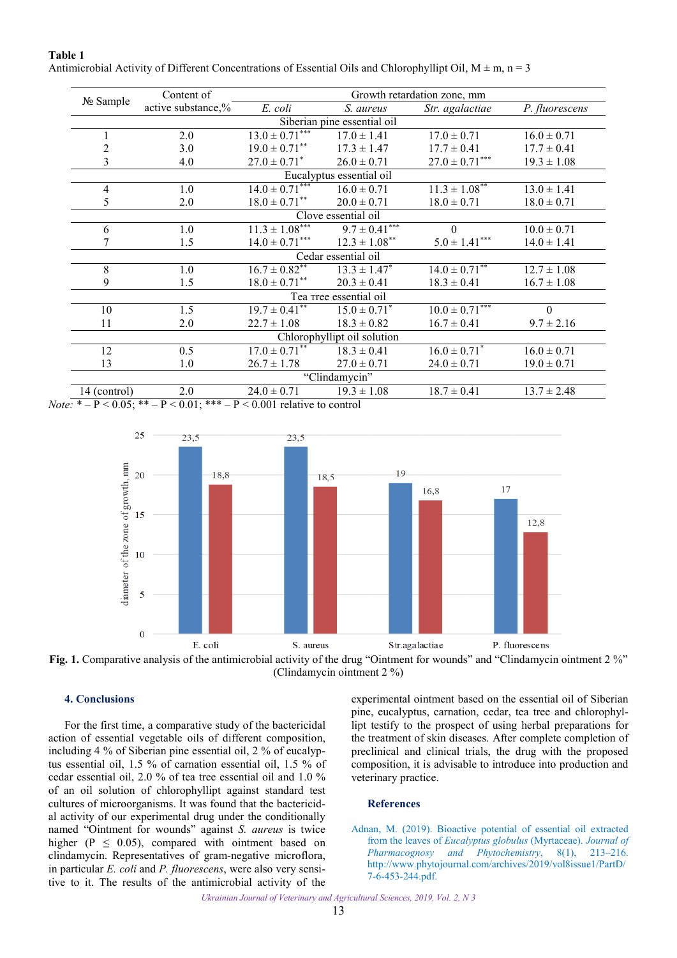| No Sample      | Content of         | Growth retardation zone, mm   |                               |                      |                 |
|----------------|--------------------|-------------------------------|-------------------------------|----------------------|-----------------|
|                | active substance,% | E. coli                       | S. aureus                     | Str. agalactiae      | P. fluorescens  |
|                |                    |                               | Siberian pine essential oil   |                      |                 |
|                | 2.0                | $13.0 \pm 0.71***$            | $17.0 \pm 1.41$               | $17.0 \pm 0.71$      | $16.0 \pm 0.71$ |
| $\overline{c}$ | 3.0                | $19.0 \pm 0.71$ <sup>**</sup> | $17.3 \pm 1.47$               | $17.7 \pm 0.41$      | $17.7 \pm 0.41$ |
| $\overline{3}$ | 4.0                | $27.0 \pm 0.71^*$             | $26.0 \pm 0.71$               | $27.0 \pm 0.71***$   | $19.3 \pm 1.08$ |
|                |                    |                               | Eucalyptus essential oil      |                      |                 |
| $\overline{4}$ | 1.0                | $14.0 \pm 0.71***$            | $16.0 \pm 0.71$               | $11.3 \pm 1.08***$   | $13.0 \pm 1.41$ |
| 5              | 2.0                | $18.0 \pm 0.71$ <sup>**</sup> | $20.0 \pm 0.71$               | $18.0 \pm 0.71$      | $18.0 \pm 0.71$ |
|                |                    |                               | Clove essential oil           |                      |                 |
| 6              | 1.0                | $11.3 \pm 1.08***$            | $9.7 \pm 0.41***$             | $\theta$             | $10.0 \pm 0.71$ |
|                | 1.5                | $14.0 \pm 0.71***$            | $12.3 \pm 1.08$ <sup>**</sup> | $5.0 \pm 1.41^{***}$ | $14.0 \pm 1.41$ |
|                |                    |                               | Cedar essential oil           |                      |                 |
| 8              | 1.0                | $16.7 \pm 0.82$ **            | $13.3 \pm 1.47^*$             | $14.0 \pm 0.71$ **   | $12.7 \pm 1.08$ |
| 9              | 1.5                | $18.0 \pm 0.71$ <sup>**</sup> | $20.3 \pm 0.41$               | $18.3 \pm 0.41$      | $16.7 \pm 1.08$ |
|                |                    |                               | Tea rree essential oil        |                      |                 |
| 10             | 1.5                | $19.7 \pm 0.41***$            | $15.0 \pm 0.71^*$             | $10.0 \pm 0.71***$   | $\Omega$        |
| 11             | 2.0                | $22.7 \pm 1.08$               | $18.3 \pm 0.82$               | $16.7 \pm 0.41$      | $9.7 \pm 2.16$  |
|                |                    |                               | Chlorophyllipt oil solution   |                      |                 |
| 12             | 0.5                | $17.0 \pm 0.71***$            | $18.3 \pm 0.41$               | $16.0 \pm 0.71^*$    | $16.0 \pm 0.71$ |
| 13             | 1.0                | $26.7 \pm 1.78$               | $27.0 \pm 0.71$               | $24.0 \pm 0.71$      | $19.0 \pm 0.71$ |
|                |                    |                               | "Clindamycin"                 |                      |                 |
| 14 (control)   | 2.0                | $24.0 \pm 0.71$               | $19.3 \pm 1.08$               | $18.7 \pm 0.41$      | $13.7 \pm 2.48$ |

<span id="page-2-0"></span>**Table 1** Antimicrobial Activity of Different Concentrations of Essential Oils and Chlorophyllipt Oil,  $M \pm m$ ,  $n = 3$ 

*Note*:  $* - P < 0.05$ ;  $* - P < 0.01$ ;  $* - P < 0.001$  relative to control





## **4. Conclusions**

For the first time, a comparative study of the bactericidal action of essential vegetable oils of different composition, including 4 % of Siberian pine essential oil, 2 % of eucalyptus essential oil, 1.5 % of carnation essential oil, 1.5 % of cedar essential oil, 2.0 % of tea tree essential oil and 1.0 % of an oil solution of chlorophyllipt against standard test cultures of microorganisms. It was found that the bactericidal activity of our experimental drug under the conditionally named "Ointment for wounds" against *S. aureus* is twice higher ( $P \leq 0.05$ ), compared with ointment based on clindamycin. Representatives of gram-negative microflora, in particular *E. coli* and *P. fluorescens*, were also very sensitive to it. The results of the antimicrobial activity of the

experimental ointment based on the essential oil of Siberian pine, eucalyptus, carnation, cedar, tea tree and chlorophyllipt testify to the prospect of using herbal preparations for the treatment of skin diseases. After complete completion of preclinical and clinical trials, the drug with the proposed composition, it is advisable to introduce into production and veterinary practice.

## **References**

[Adnan, M. \(2019\). Bioactive potential of essential oil extracted](http://www.phytojournal.com/archives/2019/vol8issue1/PartD/7-6-453-244.pdf)  from the leaves of *Eucalyptus globulus* (Myrtaceae). *Journal of Pharmacognosy and Phytochemistry*, 8(1), 213–216. http://www.phytojournal.com/archives/2019/vol8issue1/PartD/ 7-6-453-244.pdf.